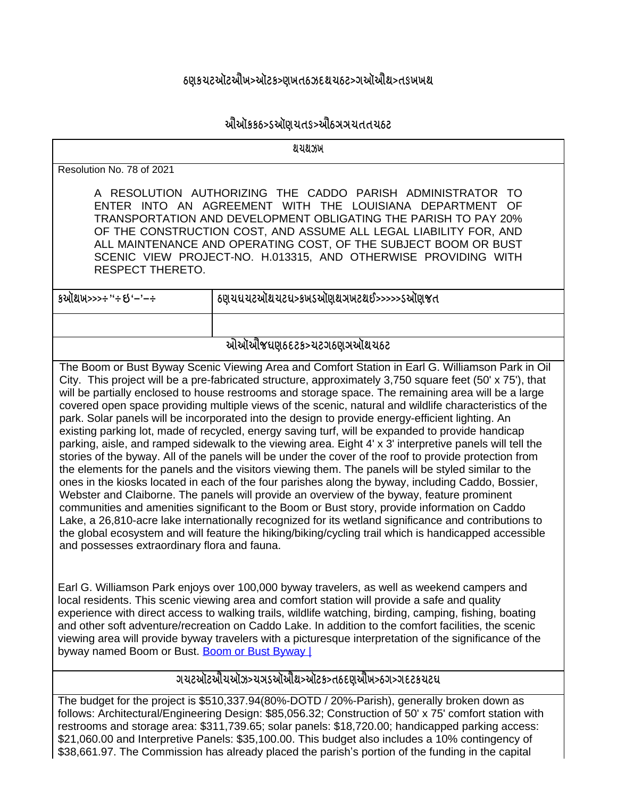## <u>ઠણકચટઑટઐખ>ઑટક>ણખતઠઝદથચઠટ>ગઑઐથ>તઙખખથ</u>

## <u>ઔેચૉકકઠ>ડઍોણચતડ>ઐંઠઞઞચતતચઠટ</u>

**TITLE** Resolution No. 78 of 2021 A RESOLUTION AUTHORIZING THE CADDO PARISH ADMINISTRATOR TO ENTER INTO AN AGREEMENT WITH THE LOUISIANA DEPARTMENT OF TRANSPORTATION AND DEVELOPMENT OBLIGATING THE PARISH TO PAY 20% OF THE CONSTRUCTION COST, AND ASSUME ALL LEGAL LIABILITY FOR, AND ALL MAINTENANCE AND OPERATING COST, OF THE SUBJECT BOOM OR BUST SCENIC VIEW PROJECT-NO. H.013315, AND OTHERWISE PROVIDING WITH RESPECT THERETO. **DATE 10/19/2021 ORIGINATING DEPARTMENT: PARKS** <u>ઓઑેએજઘણઠદટક>ચટગઠણઞઍોથચઠટ</u> The Boom or Bust Byway Scenic Viewing Area and Comfort Station in Earl G. Williamson Park in Oil City. This project will be a pre-fabricated structure, approximately 3,750 square feet (50' x 75'), that will be partially enclosed to house restrooms and storage space. The remaining area will be a large covered open space providing multiple views of the scenic, natural and wildlife characteristics of the park. Solar panels will be incorporated into the design to provide energy-efficient lighting. An existing parking lot, made of recycled, energy saving turf, will be expanded to provide handicap parking, aisle, and ramped sidewalk to the viewing area. Eight 4' x 3' interpretive panels will tell the stories of the byway. All of the panels will be under the cover of the roof to provide protection from the elements for the panels and the visitors viewing them. The panels will be styled similar to the ones in the kiosks located in each of the four parishes along the byway, including Caddo, Bossier, Webster and Claiborne. The panels will provide an overview of the byway, feature prominent communities and amenities significant to the Boom or Bust story, provide information on Caddo Lake, a 26,810-acre lake internationally recognized for its wetland significance and contributions to the global ecosystem and will feature the hiking/biking/cycling trail which is handicapped accessible and possesses extraordinary flora and fauna.

Earl G. Williamson Park enjoys over 100,000 byway travelers, as well as weekend campers and local residents. This scenic viewing area and comfort station will provide a safe and quality experience with direct access to walking trails, wildlife watching, birding, camping, fishing, boating and other soft adventure/recreation on Caddo Lake. In addition to the comfort facilities, the scenic viewing area will provide byway travelers with a picturesque interpretation of the significance of the byway named Boom or Bust. [Boom or Bust Byway |](https://boomorbustbyway.com/)

## <u>ગયટઑટઔચઑઝ>ચઞડઑઔેથ>ઑટક>તઠદણઐોખ>ઠગ>ગદટકચટઘ</u>

The budget for the project is \$510,337.94(80%-DOTD / 20%-Parish), generally broken down as follows: Architectural/Engineering Design: \$85,056.32; Construction of 50' x 75' comfort station with restrooms and storage area: \$311,739.65; solar panels: \$18,720.00; handicapped parking access: \$21,060.00 and Interpretive Panels: \$35,100.00. This budget also includes a 10% contingency of \$38,661.97. The Commission has already placed the parish's portion of the funding in the capital